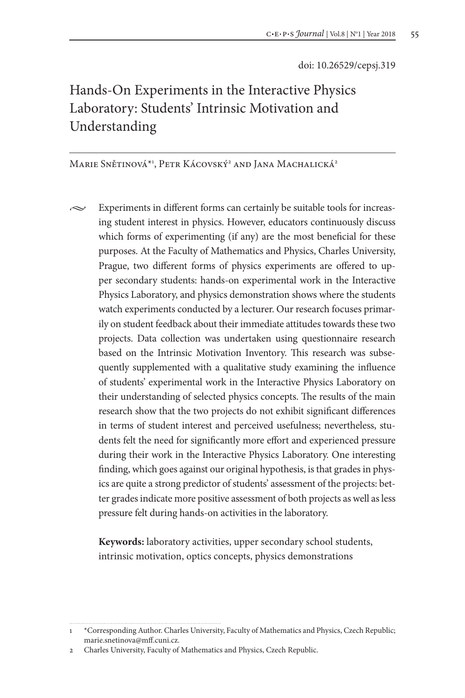# Hands-On Experiments in the Interactive Physics Laboratory: Students' Intrinsic Motivation and Understanding

Marie Snětinová\*1 , Petr Kácovský2 and Jana Machalická2

 $\sim$  Experiments in different forms can certainly be suitable tools for increasing student interest in physics. However, educators continuously discuss which forms of experimenting (if any) are the most beneficial for these purposes. At the Faculty of Mathematics and Physics, Charles University, Prague, two different forms of physics experiments are offered to upper secondary students: hands-on experimental work in the Interactive Physics Laboratory, and physics demonstration shows where the students watch experiments conducted by a lecturer. Our research focuses primarily on student feedback about their immediate attitudes towards these two projects. Data collection was undertaken using questionnaire research based on the Intrinsic Motivation Inventory. This research was subsequently supplemented with a qualitative study examining the influence of students' experimental work in the Interactive Physics Laboratory on their understanding of selected physics concepts. The results of the main research show that the two projects do not exhibit significant differences in terms of student interest and perceived usefulness; nevertheless, students felt the need for significantly more effort and experienced pressure during their work in the Interactive Physics Laboratory. One interesting finding, which goes against our original hypothesis, is that grades in physics are quite a strong predictor of students' assessment of the projects: better grades indicate more positive assessment of both projects as well as less pressure felt during hands-on activities in the laboratory.

**Keywords:** laboratory activities, upper secondary school students, intrinsic motivation, optics concepts, physics demonstrations

<sup>1</sup> \*Corresponding Author. Charles University, Faculty of Mathematics and Physics, Czech Republic; marie.snetinova@mff.cuni.cz.

<sup>2</sup> Charles University, Faculty of Mathematics and Physics, Czech Republic.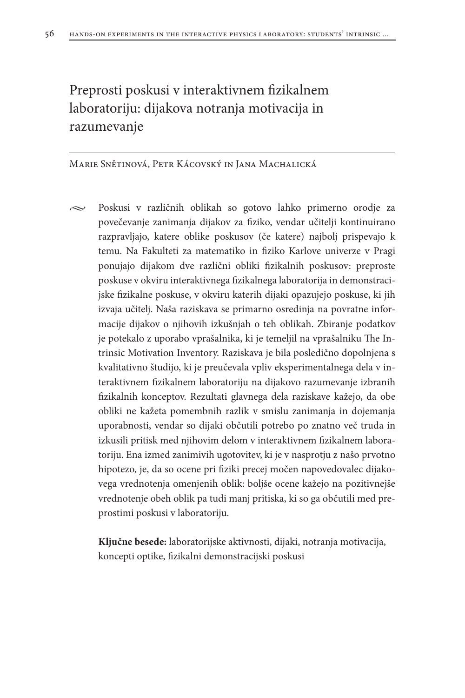# Preprosti poskusi v interaktivnem fizikalnem laboratoriju: dijakova notranja motivacija in razumevanje

### Marie Snětinová, Petr Kácovský in Jana Machalická

• Poskusi v različnih oblikah so gotovo lahko primerno orodje za povečevanje zanimanja dijakov za fiziko, vendar učitelji kontinuirano razpravljajo, katere oblike poskusov (če katere) najbolj prispevajo k temu. Na Fakulteti za matematiko in fiziko Karlove univerze v Pragi ponujajo dijakom dve različni obliki fizikalnih poskusov: preproste poskuse v okviru interaktivnega fizikalnega laboratorija in demonstracijske fizikalne poskuse, v okviru katerih dijaki opazujejo poskuse, ki jih izvaja učitelj. Naša raziskava se primarno osredinja na povratne informacije dijakov o njihovih izkušnjah o teh oblikah. Zbiranje podatkov je potekalo z uporabo vprašalnika, ki je temeljil na vprašalniku The Intrinsic Motivation Inventory. Raziskava je bila posledično dopolnjena s kvalitativno študijo, ki je preučevala vpliv eksperimentalnega dela v interaktivnem fizikalnem laboratoriju na dijakovo razumevanje izbranih fizikalnih konceptov. Rezultati glavnega dela raziskave kažejo, da obe obliki ne kažeta pomembnih razlik v smislu zanimanja in dojemanja uporabnosti, vendar so dijaki občutili potrebo po znatno več truda in izkusili pritisk med njihovim delom v interaktivnem fizikalnem laboratoriju. Ena izmed zanimivih ugotovitev, ki je v nasprotju z našo prvotno hipotezo, je, da so ocene pri fiziki precej močen napovedovalec dijakovega vrednotenja omenjenih oblik: boljše ocene kažejo na pozitivnejše vrednotenje obeh oblik pa tudi manj pritiska, ki so ga občutili med preprostimi poskusi v laboratoriju.

**Ključne besede:** laboratorijske aktivnosti, dijaki, notranja motivacija, koncepti optike, fizikalni demonstracijski poskusi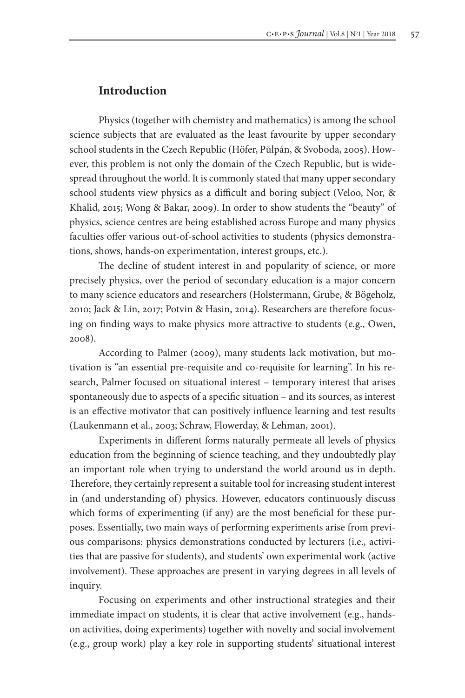## **Introduction**

Physics (together with chemistry and mathematics) is among the school science subjects that are evaluated as the least favourite by upper secondary school students in the Czech Republic (Höfer, Půlpán, & Svoboda, 2005). However, this problem is not only the domain of the Czech Republic, but is widespread throughout the world. It is commonly stated that many upper secondary school students view physics as a difficult and boring subject (Veloo, Nor, & Khalid, 2015; Wong & Bakar, 2009). In order to show students the "beauty" of physics, science centres are being established across Europe and many physics faculties offer various out-of-school activities to students (physics demonstrations, shows, hands-on experimentation, interest groups, etc.).

The decline of student interest in and popularity of science, or more precisely physics, over the period of secondary education is a major concern to many science educators and researchers (Holstermann, Grube, & Bögeholz, 2010; Jack & Lin, 2017; Potvin & Hasin, 2014). Researchers are therefore focusing on finding ways to make physics more attractive to students (e.g., Owen, 2008).

According to Palmer (2009), many students lack motivation, but motivation is "an essential pre-requisite and co-requisite for learning". In his research, Palmer focused on situational interest – temporary interest that arises spontaneously due to aspects of a specific situation – and its sources, as interest is an effective motivator that can positively influence learning and test results (Laukenmann et al., 2003; Schraw, Flowerday, & Lehman, 2001).

Experiments in different forms naturally permeate all levels of physics education from the beginning of science teaching, and they undoubtedly play an important role when trying to understand the world around us in depth. Therefore, they certainly represent a suitable tool for increasing student interest in (and understanding of) physics. However, educators continuously discuss which forms of experimenting (if any) are the most beneficial for these purposes. Essentially, two main ways of performing experiments arise from previous comparisons: physics demonstrations conducted by lecturers (i.e., activities that are passive for students), and students' own experimental work (active involvement). These approaches are present in varying degrees in all levels of inquiry.

Focusing on experiments and other instructional strategies and their immediate impact on students, it is clear that active involvement (e.g., handson activities, doing experiments) together with novelty and social involvement (e.g., group work) play a key role in supporting students' situational interest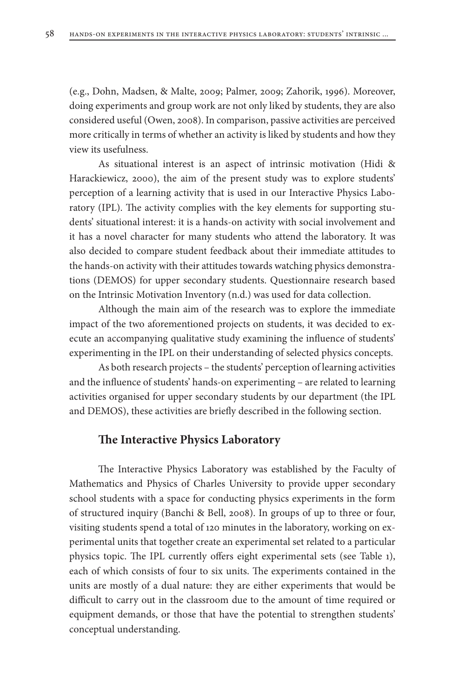(e.g., Dohn, Madsen, & Malte, 2009; Palmer, 2009; Zahorik, 1996). Moreover, doing experiments and group work are not only liked by students, they are also considered useful (Owen, 2008). In comparison, passive activities are perceived more critically in terms of whether an activity is liked by students and how they view its usefulness.

As situational interest is an aspect of intrinsic motivation (Hidi & Harackiewicz, 2000), the aim of the present study was to explore students' perception of a learning activity that is used in our Interactive Physics Laboratory (IPL). The activity complies with the key elements for supporting students' situational interest: it is a hands-on activity with social involvement and it has a novel character for many students who attend the laboratory. It was also decided to compare student feedback about their immediate attitudes to the hands-on activity with their attitudes towards watching physics demonstrations (DEMOS) for upper secondary students. Questionnaire research based on the Intrinsic Motivation Inventory (n.d.) was used for data collection.

Although the main aim of the research was to explore the immediate impact of the two aforementioned projects on students, it was decided to execute an accompanying qualitative study examining the influence of students' experimenting in the IPL on their understanding of selected physics concepts.

As both research projects – the students' perception of learning activities and the influence of students' hands-on experimenting – are related to learning activities organised for upper secondary students by our department (the IPL and DEMOS), these activities are briefly described in the following section.

# **The Interactive Physics Laboratory**

The Interactive Physics Laboratory was established by the Faculty of Mathematics and Physics of Charles University to provide upper secondary school students with a space for conducting physics experiments in the form of structured inquiry (Banchi & Bell, 2008). In groups of up to three or four, visiting students spend a total of 120 minutes in the laboratory, working on experimental units that together create an experimental set related to a particular physics topic. The IPL currently offers eight experimental sets (see Table 1), each of which consists of four to six units. The experiments contained in the units are mostly of a dual nature: they are either experiments that would be difficult to carry out in the classroom due to the amount of time required or equipment demands, or those that have the potential to strengthen students' conceptual understanding.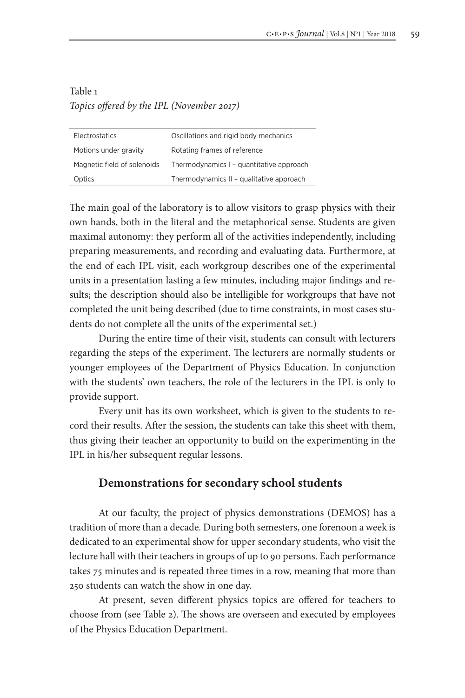# Table 1 *Topics offered by the IPL (November 2017)*

| Electrostatics              | Oscillations and rigid body mechanics    |
|-----------------------------|------------------------------------------|
| Motions under gravity       | Rotating frames of reference             |
| Magnetic field of solenoids | Thermodynamics I - quantitative approach |
| Optics                      | Thermodynamics II - qualitative approach |

The main goal of the laboratory is to allow visitors to grasp physics with their own hands, both in the literal and the metaphorical sense. Students are given maximal autonomy: they perform all of the activities independently, including preparing measurements, and recording and evaluating data. Furthermore, at the end of each IPL visit, each workgroup describes one of the experimental units in a presentation lasting a few minutes, including major findings and results; the description should also be intelligible for workgroups that have not completed the unit being described (due to time constraints, in most cases students do not complete all the units of the experimental set.)

During the entire time of their visit, students can consult with lecturers regarding the steps of the experiment. The lecturers are normally students or younger employees of the Department of Physics Education. In conjunction with the students' own teachers, the role of the lecturers in the IPL is only to provide support.

Every unit has its own worksheet, which is given to the students to record their results. After the session, the students can take this sheet with them, thus giving their teacher an opportunity to build on the experimenting in the IPL in his/her subsequent regular lessons.

### **Demonstrations for secondary school students**

At our faculty, the project of physics demonstrations (DEMOS) has a tradition of more than a decade. During both semesters, one forenoon a week is dedicated to an experimental show for upper secondary students, who visit the lecture hall with their teachers in groups of up to 90 persons. Each performance takes 75 minutes and is repeated three times in a row, meaning that more than 250 students can watch the show in one day.

At present, seven different physics topics are offered for teachers to choose from (see Table 2). The shows are overseen and executed by employees of the Physics Education Department.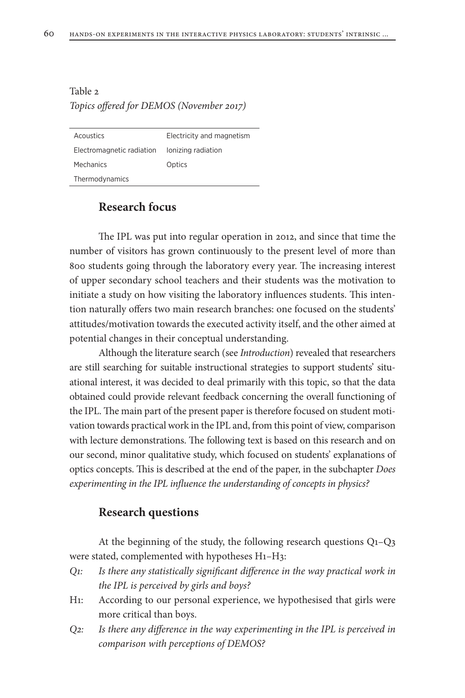# Table 2 *Topics offered for DEMOS (November 2017)*

| Acoustics                 | Electricity and magnetism |
|---------------------------|---------------------------|
| Electromagnetic radiation | lonizing radiation        |
| Mechanics                 | Optics                    |
| Thermodynamics            |                           |

# **Research focus**

The IPL was put into regular operation in 2012, and since that time the number of visitors has grown continuously to the present level of more than 800 students going through the laboratory every year. The increasing interest of upper secondary school teachers and their students was the motivation to initiate a study on how visiting the laboratory influences students. This intention naturally offers two main research branches: one focused on the students' attitudes/motivation towards the executed activity itself, and the other aimed at potential changes in their conceptual understanding.

Although the literature search (see *Introduction*) revealed that researchers are still searching for suitable instructional strategies to support students' situational interest, it was decided to deal primarily with this topic, so that the data obtained could provide relevant feedback concerning the overall functioning of the IPL. The main part of the present paper is therefore focused on student motivation towards practical work in the IPL and, from this point of view, comparison with lecture demonstrations. The following text is based on this research and on our second, minor qualitative study, which focused on students' explanations of optics concepts. This is described at the end of the paper, in the subchapter *Does experimenting in the IPL influence the understanding of concepts in physics?*

### **Research questions**

At the beginning of the study, the following research questions Q1–Q3 were stated, complemented with hypotheses H1–H3:

- *Q1: Is there any statistically significant difference in the way practical work in the IPL is perceived by girls and boys?*
- H1: According to our personal experience, we hypothesised that girls were more critical than boys.
- *Q2: Is there any difference in the way experimenting in the IPL is perceived in comparison with perceptions of DEMOS?*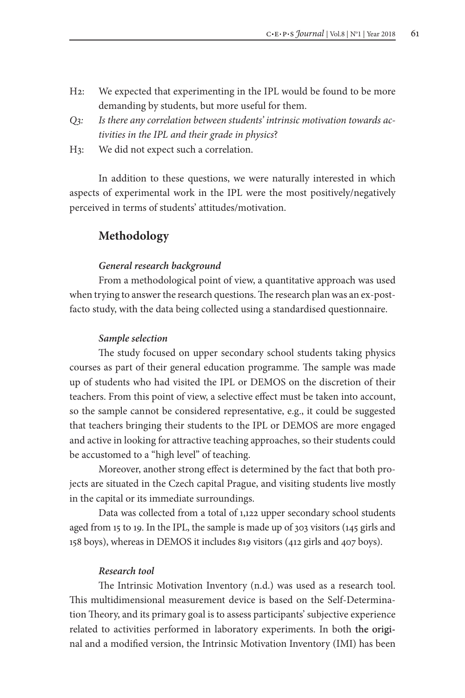- H2: We expected that experimenting in the IPL would be found to be more demanding by students, but more useful for them.
- *Q3: Is there any correlation between students' intrinsic motivation towards activities in the IPL and their grade in physics*?
- H3: We did not expect such a correlation.

In addition to these questions, we were naturally interested in which aspects of experimental work in the IPL were the most positively/negatively perceived in terms of students' attitudes/motivation.

# **Methodology**

#### *General research background*

From a methodological point of view, a quantitative approach was used when trying to answer the research questions. The research plan was an ex-postfacto study, with the data being collected using a standardised questionnaire.

#### *Sample selection*

The study focused on upper secondary school students taking physics courses as part of their general education programme. The sample was made up of students who had visited the IPL or DEMOS on the discretion of their teachers. From this point of view, a selective effect must be taken into account, so the sample cannot be considered representative, e.g., it could be suggested that teachers bringing their students to the IPL or DEMOS are more engaged and active in looking for attractive teaching approaches, so their students could be accustomed to a "high level" of teaching.

Moreover, another strong effect is determined by the fact that both projects are situated in the Czech capital Prague, and visiting students live mostly in the capital or its immediate surroundings.

Data was collected from a total of 1,122 upper secondary school students aged from 15 to 19. In the IPL, the sample is made up of 303 visitors (145 girls and 158 boys), whereas in DEMOS it includes 819 visitors (412 girls and 407 boys).

#### *Research tool*

The Intrinsic Motivation Inventory (n.d.) was used as a research tool. This multidimensional measurement device is based on the Self-Determination Theory, and its primary goal is to assess participants' subjective experience related to activities performed in laboratory experiments. In both the original and a modified version, the Intrinsic Motivation Inventory (IMI) has been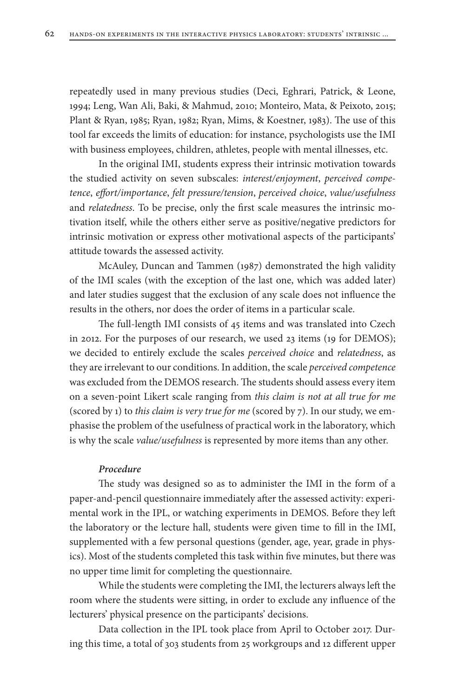repeatedly used in many previous studies (Deci, Eghrari, Patrick, & Leone, 1994; Leng, Wan Ali, Baki, & Mahmud, 2010; Monteiro, Mata, & Peixoto, 2015; Plant & Ryan, 1985; Ryan, 1982; Ryan, Mims, & Koestner, 1983). The use of this tool far exceeds the limits of education: for instance, psychologists use the IMI with business employees, children, athletes, people with mental illnesses, etc.

In the original IMI, students express their intrinsic motivation towards the studied activity on seven subscales: *interest/enjoyment*, *perceived competence*, *effort/importance*, *felt pressure/tension*, *perceived choice*, *value/usefulness* and *relatedness*. To be precise, only the first scale measures the intrinsic motivation itself, while the others either serve as positive/negative predictors for intrinsic motivation or express other motivational aspects of the participants' attitude towards the assessed activity.

McAuley, Duncan and Tammen (1987) demonstrated the high validity of the IMI scales (with the exception of the last one, which was added later) and later studies suggest that the exclusion of any scale does not influence the results in the others, nor does the order of items in a particular scale.

The full-length IMI consists of 45 items and was translated into Czech in 2012. For the purposes of our research, we used 23 items (19 for DEMOS); we decided to entirely exclude the scales *perceived choice* and *relatedness*, as they are irrelevant to our conditions. In addition, the scale *perceived competence* was excluded from the DEMOS research. The students should assess every item on a seven-point Likert scale ranging from *this claim is not at all true for me*  (scored by 1) to *this claim is very true for me* (scored by 7). In our study, we emphasise the problem of the usefulness of practical work in the laboratory, which is why the scale *value/usefulness* is represented by more items than any other.

### *Procedure*

The study was designed so as to administer the IMI in the form of a paper-and-pencil questionnaire immediately after the assessed activity: experimental work in the IPL, or watching experiments in DEMOS. Before they left the laboratory or the lecture hall, students were given time to fill in the IMI, supplemented with a few personal questions (gender, age, year, grade in physics). Most of the students completed this task within five minutes, but there was no upper time limit for completing the questionnaire.

While the students were completing the IMI, the lecturers always left the room where the students were sitting, in order to exclude any influence of the lecturers' physical presence on the participants' decisions.

Data collection in the IPL took place from April to October 2017. During this time, a total of 303 students from 25 workgroups and 12 different upper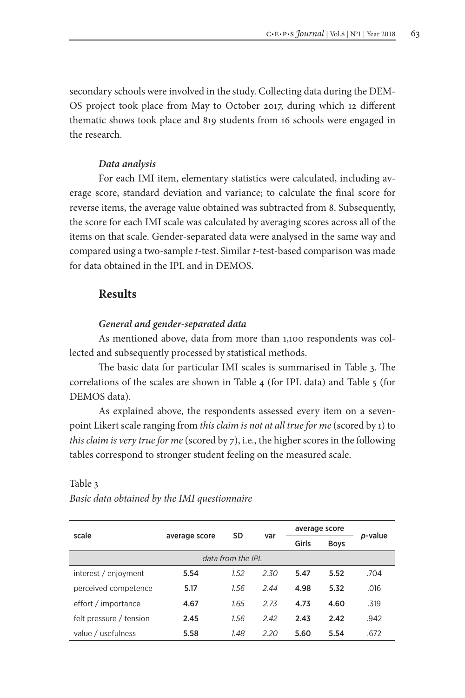secondary schools were involved in the study. Collecting data during the DEM-OS project took place from May to October 2017, during which 12 different thematic shows took place and 819 students from 16 schools were engaged in the research.

#### *Data analysis*

For each IMI item, elementary statistics were calculated, including average score, standard deviation and variance; to calculate the final score for reverse items, the average value obtained was subtracted from 8. Subsequently, the score for each IMI scale was calculated by averaging scores across all of the items on that scale. Gender-separated data were analysed in the same way and compared using a two-sample *t*-test. Similar *t*-test-based comparison was made for data obtained in the IPL and in DEMOS.

# **Results**

### *General and gender-separated data*

As mentioned above, data from more than 1,100 respondents was collected and subsequently processed by statistical methods.

The basic data for particular IMI scales is summarised in Table 3. The correlations of the scales are shown in Table 4 (for IPL data) and Table 5 (for DEMOS data).

As explained above, the respondents assessed every item on a sevenpoint Likert scale ranging from *this claim is not at all true for me* (scored by 1) to *this claim is very true for me* (scored by 7), i.e., the higher scores in the following tables correspond to stronger student feeling on the measured scale.

|                         |               | SD                |      | average score |             |         |
|-------------------------|---------------|-------------------|------|---------------|-------------|---------|
| scale                   | average score |                   | var  | Girls         | <b>Boys</b> | p-value |
|                         |               | data from the IPL |      |               |             |         |
| interest / enjoyment    | 5.54          | 1.52              | 2.30 | 5.47          | 5.52        | .704    |
| perceived competence    | 5.17          | 1.56              | 2.44 | 4.98          | 5.32        | .016    |
| effort / importance     | 4.67          | 1.65              | 2.73 | 4.73          | 4.60        | .319    |
| felt pressure / tension | 2.45          | 1.56              | 2.42 | 2.43          | 2.42        | .942    |
| value / usefulness      | 5.58          | 1.48              | 2.20 | 5.60          | 5.54        | .672    |

#### Table 3

*Basic data obtained by the IMI questionnaire*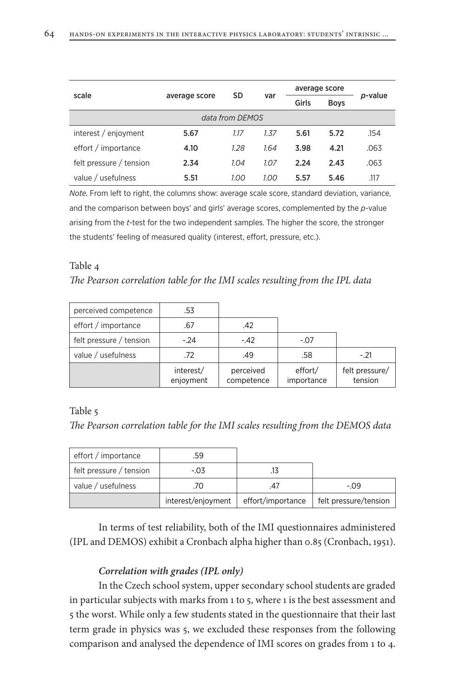| scale                   |               | SD              | var  | average score |             | p-value |
|-------------------------|---------------|-----------------|------|---------------|-------------|---------|
|                         | average score |                 |      | Girls         | <b>Boys</b> |         |
|                         |               | data from DEMOS |      |               |             |         |
| interest / enjoyment    | 5.67          | 1.17            | 1.37 | 5.61          | 5.72        | .154    |
| effort / importance     | 4.10          | 1.28            | 1.64 | 3.98          | 4.21        | .063    |
| felt pressure / tension | 2.34          | 1.04            | 1.07 | 2.24          | 2.43        | .063    |
| value / usefulness      | 5.51          | 1.00            | 1.00 | 5.57          | 5.46        | .117    |

*Note.* From left to right, the columns show: average scale score, standard deviation, variance, and the comparison between boys' and girls' average scores, complemented by the *p*-value arising from the *t*-test for the two independent samples. The higher the score, the stronger the students' feeling of measured quality (interest, effort, pressure, etc.).

#### Table 4

*The Pearson correlation table for the IMI scales resulting from the IPL data*

| perceived competence    | .53                    |                         |                       |                           |
|-------------------------|------------------------|-------------------------|-----------------------|---------------------------|
| effort / importance     | .67                    | .42                     |                       |                           |
| felt pressure / tension | $-24$                  | $-42$                   | $-.07$                |                           |
| value / usefulness      | .72                    | .49                     | .58                   | $-.21$                    |
|                         | interest/<br>enjoyment | perceived<br>competence | effort/<br>importance | felt pressure/<br>tension |

#### Table 5

*The Pearson correlation table for the IMI scales resulting from the DEMOS data*

| effort / importance     | .59                |                   |                       |
|-------------------------|--------------------|-------------------|-----------------------|
| felt pressure / tension | $-0.03$            |                   |                       |
| value / usefulness      | .70                |                   | $-09$                 |
|                         | interest/enjoyment | effort/importance | felt pressure/tension |

In terms of test reliability, both of the IMI questionnaires administered (IPL and DEMOS) exhibit a Cronbach alpha higher than 0.85 (Cronbach, 1951).

#### *Correlation with grades (IPL only)*

In the Czech school system, upper secondary school students are graded in particular subjects with marks from 1 to 5, where 1 is the best assessment and 5 the worst. While only a few students stated in the questionnaire that their last term grade in physics was 5, we excluded these responses from the following comparison and analysed the dependence of IMI scores on grades from 1 to 4.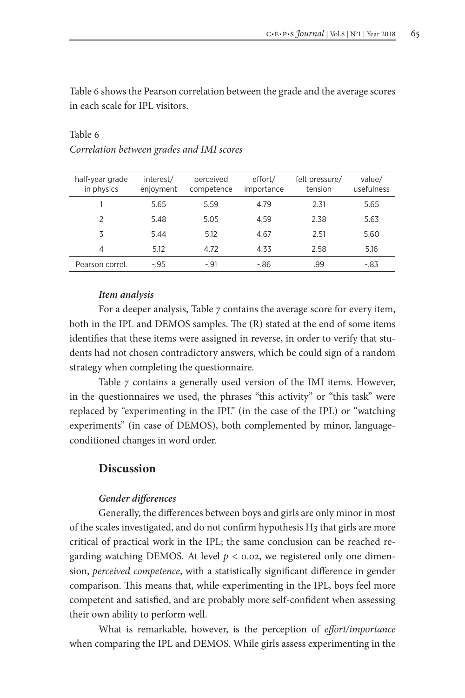Table 6 shows the Pearson correlation between the grade and the average scores in each scale for IPL visitors.

| half-year grade<br>in physics | interest/<br>enjoyment | perceived<br>competence | effort/<br>importance | felt pressure/<br>tension | value/<br>usefulness |
|-------------------------------|------------------------|-------------------------|-----------------------|---------------------------|----------------------|
|                               | 5.65                   | 5.59                    | 4.79                  | 2.31                      | 5.65                 |
| $\mathfrak{p}$                | 5.48                   | 5.05                    | 4.59                  | 2.38                      | 5.63                 |
| 3                             | 5.44                   | 5.12                    | 4.67                  | 2.51                      | 5.60                 |
| 4                             | 5.12                   | 4.72                    | 4.33                  | 2.58                      | 5.16                 |
| Pearson correl.               | $-0.95$                | $-.91$                  | -.86                  | .99                       | $-83$                |

# Table 6 *Correlation between grades and IMI scores*

### *Item analysis*

For a deeper analysis, Table 7 contains the average score for every item, both in the IPL and DEMOS samples. The (R) stated at the end of some items identifies that these items were assigned in reverse, in order to verify that students had not chosen contradictory answers, which be could sign of a random strategy when completing the questionnaire.

Table 7 contains a generally used version of the IMI items. However, in the questionnaires we used, the phrases "this activity" or "this task" were replaced by "experimenting in the IPL" (in the case of the IPL) or "watching experiments" (in case of DEMOS), both complemented by minor, languageconditioned changes in word order.

### **Discussion**

#### *Gender differences*

Generally, the differences between boys and girls are only minor in most of the scales investigated, and do not confirm hypothesis H3 that girls are more critical of practical work in the IPL; the same conclusion can be reached regarding watching DEMOS. At level  $p < 0.02$ , we registered only one dimension, *perceived competence*, with a statistically significant difference in gender comparison. This means that, while experimenting in the IPL, boys feel more competent and satisfied, and are probably more self-confident when assessing their own ability to perform well.

What is remarkable, however, is the perception of *effort/importance* when comparing the IPL and DEMOS. While girls assess experimenting in the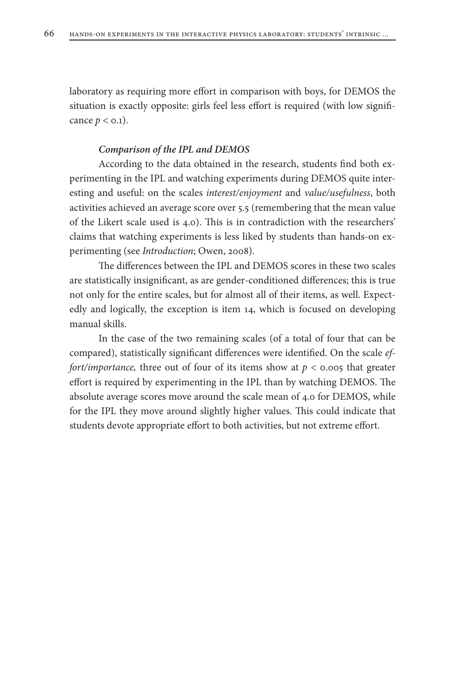laboratory as requiring more effort in comparison with boys, for DEMOS the situation is exactly opposite: girls feel less effort is required (with low significance  $p < 0.1$ ).

#### *Comparison of the IPL and DEMOS*

According to the data obtained in the research, students find both experimenting in the IPL and watching experiments during DEMOS quite interesting and useful: on the scales *interest/enjoyment* and *value/usefulness*, both activities achieved an average score over 5.5 (remembering that the mean value of the Likert scale used is 4.0). This is in contradiction with the researchers' claims that watching experiments is less liked by students than hands-on experimenting (see *Introduction*; Owen, 2008).

The differences between the IPL and DEMOS scores in these two scales are statistically insignificant, as are gender-conditioned differences; this is true not only for the entire scales, but for almost all of their items, as well. Expectedly and logically, the exception is item 14, which is focused on developing manual skills.

In the case of the two remaining scales (of a total of four that can be compared), statistically significant differences were identified. On the scale *effort/importance,* three out of four of its items show at *p* < 0.005 that greater effort is required by experimenting in the IPL than by watching DEMOS. The absolute average scores move around the scale mean of 4.0 for DEMOS, while for the IPL they move around slightly higher values. This could indicate that students devote appropriate effort to both activities, but not extreme effort.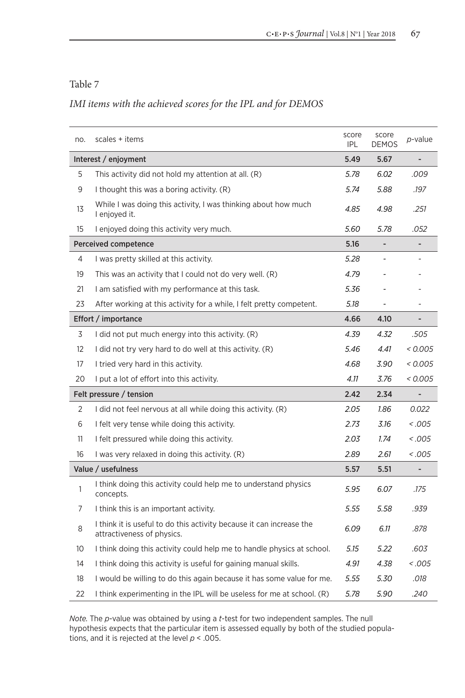## Table 7

# *IMI items with the achieved scores for the IPL and for DEMOS*

| no.               | scales + items                                                                                     | score<br><b>IPL</b> | score<br><b>DEMOS</b>    | p-value  |
|-------------------|----------------------------------------------------------------------------------------------------|---------------------|--------------------------|----------|
|                   | Interest / enjoyment                                                                               | 5.49                | 5.67                     |          |
| 5                 | This activity did not hold my attention at all. (R)                                                | 5.78                | 6.02                     | .009     |
| 9                 | I thought this was a boring activity. (R)                                                          | 5.74                | 5.88                     | .197     |
| 13                | While I was doing this activity, I was thinking about how much<br>I enjoyed it.                    | 4.85                | 4.98                     | .251     |
| 15                | I enjoyed doing this activity very much.                                                           | 5.60                | 5.78                     | .052     |
|                   | Perceived competence                                                                               | 5.16                | $\overline{\phantom{a}}$ |          |
| 4                 | I was pretty skilled at this activity.                                                             | 5.28                |                          |          |
| 19                | This was an activity that I could not do very well. (R)                                            | 4.79                |                          |          |
| 21                | I am satisfied with my performance at this task.                                                   | 5.36                |                          |          |
| 23                | After working at this activity for a while, I felt pretty competent.                               | 5.18                |                          |          |
|                   | Effort / importance                                                                                | 4.66                | 4.10                     |          |
| 3                 | I did not put much energy into this activity. (R)                                                  | 4.39                | 4.32                     | .505     |
| $12 \overline{ }$ | I did not try very hard to do well at this activity. (R)                                           | 5.46                | 4.41                     | 0.005    |
| 17                | I tried very hard in this activity.                                                                | 4.68                | 3.90                     | < 0.005  |
| 20                | I put a lot of effort into this activity.                                                          | 4.11                | 3.76                     | < 0.005  |
|                   | Felt pressure / tension                                                                            | 2.42                | 2.34                     |          |
| 2                 | I did not feel nervous at all while doing this activity. (R)                                       | 2.05                | 1.86                     | 0.022    |
| 6                 | I felt very tense while doing this activity.                                                       | 2.73                | 3.16                     | 0.005    |
| 11                | I felt pressured while doing this activity.                                                        | 2.03                | 1.74                     | - 005. > |
| 16                | I was very relaxed in doing this activity. (R)                                                     | 2.89                | 2.61                     | 0.005    |
|                   | Value / usefulness                                                                                 | 5.57                | 5.51                     |          |
| 1                 | I think doing this activity could help me to understand physics<br>concepts.                       | 5.95                | 6.07                     | .175     |
| 7                 | I think this is an important activity.                                                             | 5.55                | 5.58                     | .939     |
| 8                 | I think it is useful to do this activity because it can increase the<br>attractiveness of physics. | 6.09                | 6.11                     | .878     |
| 10                | I think doing this activity could help me to handle physics at school.                             | 5.15                | 5.22                     | .603     |
| 14                | I think doing this activity is useful for gaining manual skills.                                   | 4.91                | 4.38                     | < .005   |
| 18                | I would be willing to do this again because it has some value for me.                              | 5.55                | 5.30                     | .018     |
| 22                | I think experimenting in the IPL will be useless for me at school. (R)                             | 5.78                | 5.90                     | .240     |

*Note.* The *p*-value was obtained by using a *t*-test for two independent samples. The null hypothesis expects that the particular item is assessed equally by both of the studied populations, and it is rejected at the level *p* < .005.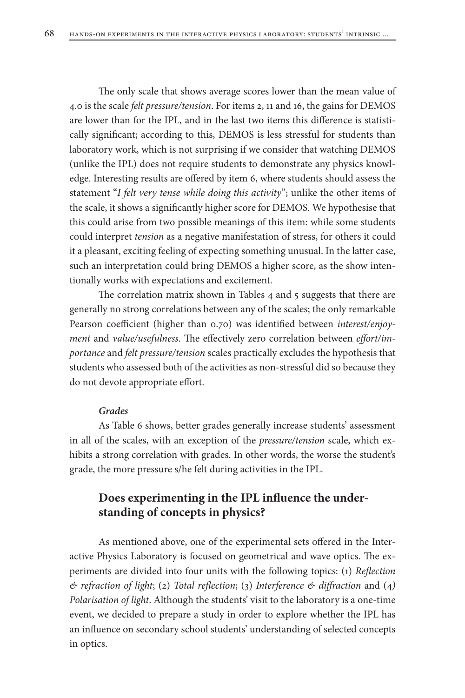The only scale that shows average scores lower than the mean value of 4.0 is the scale *felt pressure/tension*. For items 2, 11 and 16, the gains for DEMOS are lower than for the IPL, and in the last two items this difference is statistically significant; according to this, DEMOS is less stressful for students than laboratory work, which is not surprising if we consider that watching DEMOS (unlike the IPL) does not require students to demonstrate any physics knowledge. Interesting results are offered by item 6, where students should assess the statement "*I felt very tense while doing this activity*"; unlike the other items of the scale, it shows a significantly higher score for DEMOS. We hypothesise that this could arise from two possible meanings of this item: while some students could interpret *tension* as a negative manifestation of stress, for others it could it a pleasant, exciting feeling of expecting something unusual. In the latter case, such an interpretation could bring DEMOS a higher score, as the show intentionally works with expectations and excitement.

The correlation matrix shown in Tables 4 and 5 suggests that there are generally no strong correlations between any of the scales; the only remarkable Pearson coefficient (higher than 0.70) was identified between *interest/enjoyment* and *value/usefulness*. The effectively zero correlation between *effort/importance* and *felt pressure/tension* scales practically excludes the hypothesis that students who assessed both of the activities as non-stressful did so because they do not devote appropriate effort.

### *Grades*

As Table 6 shows, better grades generally increase students' assessment in all of the scales, with an exception of the *pressure/tension* scale, which exhibits a strong correlation with grades. In other words, the worse the student's grade, the more pressure s/he felt during activities in the IPL.

# **Does experimenting in the IPL influence the understanding of concepts in physics?**

As mentioned above, one of the experimental sets offered in the Interactive Physics Laboratory is focused on geometrical and wave optics. The experiments are divided into four units with the following topics: (1) *Reflection & refraction of light*; (2) *Total reflection*; (3) *Interference & diffraction* and (4*) Polarisation of light*. Although the students' visit to the laboratory is a one-time event, we decided to prepare a study in order to explore whether the IPL has an influence on secondary school students' understanding of selected concepts in optics.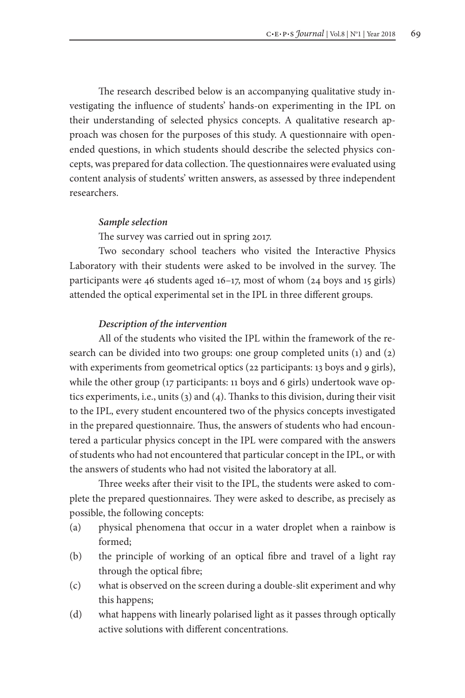The research described below is an accompanying qualitative study investigating the influence of students' hands-on experimenting in the IPL on their understanding of selected physics concepts. A qualitative research approach was chosen for the purposes of this study. A questionnaire with openended questions, in which students should describe the selected physics concepts, was prepared for data collection. The questionnaires were evaluated using content analysis of students' written answers, as assessed by three independent researchers.

#### *Sample selection*

The survey was carried out in spring 2017.

Two secondary school teachers who visited the Interactive Physics Laboratory with their students were asked to be involved in the survey. The participants were 46 students aged 16–17, most of whom (24 boys and 15 girls) attended the optical experimental set in the IPL in three different groups.

### *Description of the intervention*

All of the students who visited the IPL within the framework of the research can be divided into two groups: one group completed units (1) and (2) with experiments from geometrical optics (22 participants: 13 boys and 9 girls), while the other group (17 participants: 11 boys and 6 girls) undertook wave optics experiments, i.e., units (3) and (4). Thanks to this division, during their visit to the IPL, every student encountered two of the physics concepts investigated in the prepared questionnaire. Thus, the answers of students who had encountered a particular physics concept in the IPL were compared with the answers of students who had not encountered that particular concept in the IPL, or with the answers of students who had not visited the laboratory at all.

Three weeks after their visit to the IPL, the students were asked to complete the prepared questionnaires. They were asked to describe, as precisely as possible, the following concepts:

- (a) physical phenomena that occur in a water droplet when a rainbow is formed;
- (b) the principle of working of an optical fibre and travel of a light ray through the optical fibre;
- (c) what is observed on the screen during a double-slit experiment and why this happens;
- (d) what happens with linearly polarised light as it passes through optically active solutions with different concentrations.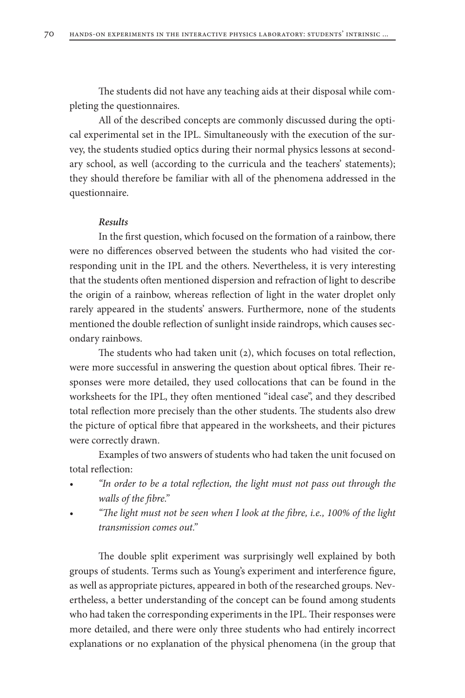The students did not have any teaching aids at their disposal while completing the questionnaires.

All of the described concepts are commonly discussed during the optical experimental set in the IPL. Simultaneously with the execution of the survey, the students studied optics during their normal physics lessons at secondary school, as well (according to the curricula and the teachers' statements); they should therefore be familiar with all of the phenomena addressed in the questionnaire.

#### *Results*

In the first question, which focused on the formation of a rainbow, there were no differences observed between the students who had visited the corresponding unit in the IPL and the others. Nevertheless, it is very interesting that the students often mentioned dispersion and refraction of light to describe the origin of a rainbow, whereas reflection of light in the water droplet only rarely appeared in the students' answers. Furthermore, none of the students mentioned the double reflection of sunlight inside raindrops, which causes secondary rainbows.

The students who had taken unit (2), which focuses on total reflection, were more successful in answering the question about optical fibres. Their responses were more detailed, they used collocations that can be found in the worksheets for the IPL, they often mentioned "ideal case", and they described total reflection more precisely than the other students. The students also drew the picture of optical fibre that appeared in the worksheets, and their pictures were correctly drawn.

Examples of two answers of students who had taken the unit focused on total reflection:

- *• "In order to be a total reflection, the light must not pass out through the walls of the fibre."*
- *• "The light must not be seen when I look at the fibre, i.e., 100% of the light transmission comes out."*

The double split experiment was surprisingly well explained by both groups of students. Terms such as Young's experiment and interference figure, as well as appropriate pictures, appeared in both of the researched groups. Nevertheless, a better understanding of the concept can be found among students who had taken the corresponding experiments in the IPL. Their responses were more detailed, and there were only three students who had entirely incorrect explanations or no explanation of the physical phenomena (in the group that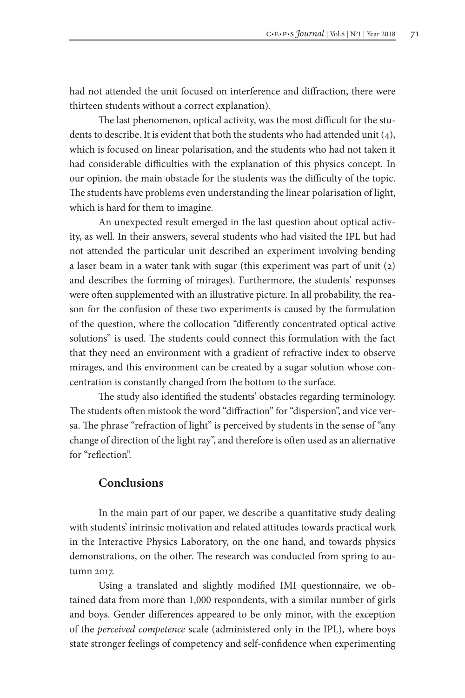had not attended the unit focused on interference and diffraction, there were thirteen students without a correct explanation).

The last phenomenon, optical activity, was the most difficult for the students to describe. It is evident that both the students who had attended unit (4), which is focused on linear polarisation, and the students who had not taken it had considerable difficulties with the explanation of this physics concept. In our opinion, the main obstacle for the students was the difficulty of the topic. The students have problems even understanding the linear polarisation of light, which is hard for them to imagine.

An unexpected result emerged in the last question about optical activity, as well. In their answers, several students who had visited the IPL but had not attended the particular unit described an experiment involving bending a laser beam in a water tank with sugar (this experiment was part of unit (2) and describes the forming of mirages). Furthermore, the students' responses were often supplemented with an illustrative picture. In all probability, the reason for the confusion of these two experiments is caused by the formulation of the question, where the collocation "differently concentrated optical active solutions" is used. The students could connect this formulation with the fact that they need an environment with a gradient of refractive index to observe mirages, and this environment can be created by a sugar solution whose concentration is constantly changed from the bottom to the surface.

The study also identified the students' obstacles regarding terminology. The students often mistook the word "diffraction" for "dispersion", and vice versa. The phrase "refraction of light" is perceived by students in the sense of "any change of direction of the light ray", and therefore is often used as an alternative for "reflection".

### **Conclusions**

In the main part of our paper, we describe a quantitative study dealing with students' intrinsic motivation and related attitudes towards practical work in the Interactive Physics Laboratory, on the one hand, and towards physics demonstrations, on the other. The research was conducted from spring to autumn 2017.

Using a translated and slightly modified IMI questionnaire, we obtained data from more than 1,000 respondents, with a similar number of girls and boys. Gender differences appeared to be only minor, with the exception of the *perceived competence* scale (administered only in the IPL), where boys state stronger feelings of competency and self-confidence when experimenting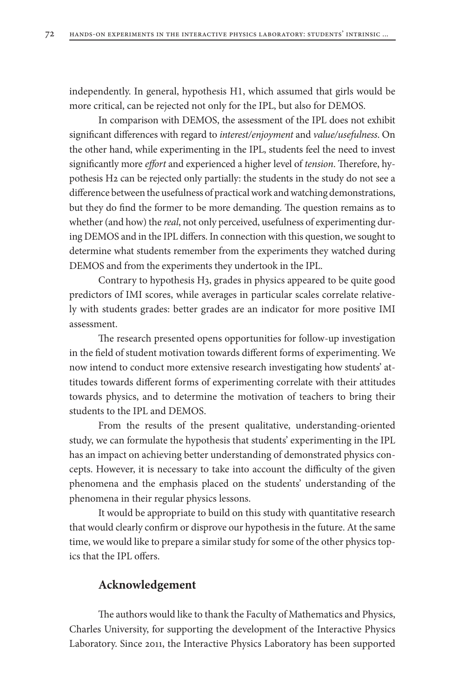independently. In general, hypothesis H1, which assumed that girls would be more critical, can be rejected not only for the IPL, but also for DEMOS.

In comparison with DEMOS, the assessment of the IPL does not exhibit significant differences with regard to *interest/enjoyment* and *value/usefulness*. On the other hand, while experimenting in the IPL, students feel the need to invest significantly more *effort* and experienced a higher level of *tension*. Therefore, hypothesis H2 can be rejected only partially: the students in the study do not see a difference between the usefulness of practical work and watching demonstrations, but they do find the former to be more demanding. The question remains as to whether (and how) the *real*, not only perceived, usefulness of experimenting during DEMOS and in the IPL differs. In connection with this question, we sought to determine what students remember from the experiments they watched during DEMOS and from the experiments they undertook in the IPL.

Contrary to hypothesis H3, grades in physics appeared to be quite good predictors of IMI scores, while averages in particular scales correlate relatively with students grades: better grades are an indicator for more positive IMI assessment.

The research presented opens opportunities for follow-up investigation in the field of student motivation towards different forms of experimenting. We now intend to conduct more extensive research investigating how students' attitudes towards different forms of experimenting correlate with their attitudes towards physics, and to determine the motivation of teachers to bring their students to the IPL and DEMOS.

From the results of the present qualitative, understanding-oriented study, we can formulate the hypothesis that students' experimenting in the IPL has an impact on achieving better understanding of demonstrated physics concepts. However, it is necessary to take into account the difficulty of the given phenomena and the emphasis placed on the students' understanding of the phenomena in their regular physics lessons.

It would be appropriate to build on this study with quantitative research that would clearly confirm or disprove our hypothesis in the future. At the same time, we would like to prepare a similar study for some of the other physics topics that the IPL offers.

# **Acknowledgement**

The authors would like to thank the Faculty of Mathematics and Physics, Charles University, for supporting the development of the Interactive Physics Laboratory. Since 2011, the Interactive Physics Laboratory has been supported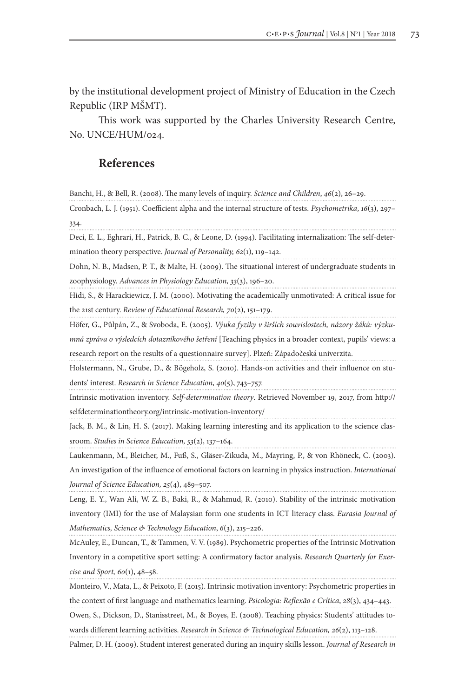by the institutional development project of Ministry of Education in the Czech Republic (IRP MŠMT).

This work was supported by the Charles University Research Centre, No. UNCE/HUM/024.

# **References**

Banchi, H., & Bell, R. (2008). The many levels of inquiry. *Science and Children*, *46*(2), 26–29.

Cronbach, L. J. (1951). Coefficient alpha and the internal structure of tests. *Psychometrika*, *16*(3), 297– 334.

Deci, E. L., Eghrari, H., Patrick, B. C., & Leone, D. (1994). Facilitating internalization: The self-determination theory perspective. *Journal of Personality, 62*(1), 119–142.

Dohn, N. B., Madsen, P. T., & Malte, H. (2009). The situational interest of undergraduate students in zoophysiology. *Advances in Physiology Education, 33*(3), 196–20.

Hidi, S., & Harackiewicz, J. M. (2000). Motivating the academically unmotivated: A critical issue for the 21st century. *Review of Educational Research, 70*(2), 151–179.

Höfer, G., Půlpán, Z., & Svoboda, E. (2005). *Výuka fyziky v širších souvislostech, názory žáků: výzkumná zpráva o výsledcích dotazníkového šetření* [Teaching physics in a broader context, pupils' views: a research report on the results of a questionnaire survey]. Plzeň: Západočeská univerzita.

Holstermann, N., Grube, D., & Bögeholz, S. (2010). Hands-on activities and their influence on students' interest. *Research in Science Education, 40*(5), 743–757.

Intrinsic motivation inventory. *Self-determination theory*. Retrieved November 19, 2017, from http:// selfdeterminationtheory.org/intrinsic-motivation-inventory/

Jack, B. M., & Lin, H. S. (2017). Making learning interesting and its application to the science classroom. *Studies in Science Education, 53*(2), 137–164.

Laukenmann, M., Bleicher, M., Fuß, S., Gläser-Zikuda, M., Mayring, P., & von Rhöneck, C. (2003). An investigation of the influence of emotional factors on learning in physics instruction. *International Journal of Science Education, 25*(4), 489–507.

Leng, E. Y., Wan Ali, W. Z. B., Baki, R., & Mahmud, R. (2010). Stability of the intrinsic motivation inventory (IMI) for the use of Malaysian form one students in ICT literacy class. *Eurasia Journal of Mathematics, Science & Technology Education*, *6*(3), 215–226.

McAuley, E., Duncan, T., & Tammen, V. V. (1989). Psychometric properties of the Intrinsic Motivation Inventory in a competitive sport setting: A confirmatory factor analysis. *Research Quarterly for Exercise and Sport, 60*(1), 48–58.

Monteiro, V., Mata, L., & Peixoto, F. (2015). Intrinsic motivation inventory: Psychometric properties in

the context of first language and mathematics learning. *Psicologia: Reflexão e Crítica*, *28*(3), 434–443.

Owen, S., Dickson, D., Stanisstreet, M., & Boyes, E. (2008). Teaching physics: Students' attitudes towards different learning activities. *Research in Science & Technological Education, 26*(2), 113–128.

Palmer, D. H. (2009). Student interest generated during an inquiry skills lesson. *Journal of Research in*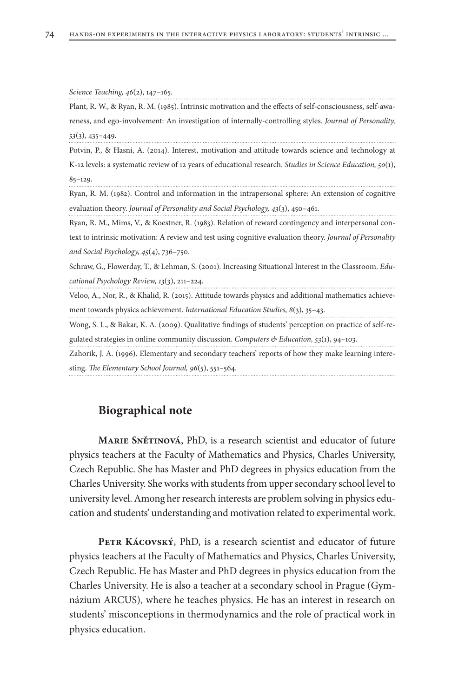| Science Teaching, 46(2), 147-165.                                                                          |
|------------------------------------------------------------------------------------------------------------|
| Plant, R. W., & Ryan, R. M. (1985). Intrinsic motivation and the effects of self-consciousness, self-awa-  |
| reness, and ego-involvement: An investigation of internally-controlling styles. Journal of Personality,    |
| $53(3)$ , 435-449.                                                                                         |
| Potvin, P., & Hasni, A. (2014). Interest, motivation and attitude towards science and technology at        |
| K-12 levels: a systematic review of 12 years of educational research. Studies in Science Education, 50(1), |
| $85 - 129.$                                                                                                |
| Ryan, R. M. (1982). Control and information in the intrapersonal sphere: An extension of cognitive         |
| evaluation theory. Journal of Personality and Social Psychology, 43(3), 450-461.                           |
| Ryan, R. M., Mims, V., & Koestner, R. (1983). Relation of reward contingency and interpersonal con-        |
| text to intrinsic motivation: A review and test using cognitive evaluation theory. Journal of Personality  |
| and Social Psychology, $45(4)$ , 736-750.                                                                  |
| Schraw, G., Flowerday, T., & Lehman, S. (2001). Increasing Situational Interest in the Classroom. Edu-     |
| cational Psychology Review, $13(3)$ , 211-224.                                                             |
| Veloo, A., Nor, R., & Khalid, R. (2015). Attitude towards physics and additional mathematics achieve-      |
| ment towards physics achievement. <i>International Education Studies</i> , $8(3)$ , $35-43$ .              |
| Wong, S. L., & Bakar, K. A. (2009). Qualitative findings of students' perception on practice of self-re-   |
| gulated strategies in online community discussion. Computers $\mathcal{E}$ Education, 53(1), 94-103.       |
| Zahorik, J. A. (1996). Elementary and secondary teachers' reports of how they make learning intere-        |
| sting. The Elementary School Journal, $96(5)$ , $551-564$ .                                                |

### **Biographical note**

**Marie Snětinová**, PhD, is a research scientist and educator of future physics teachers at the Faculty of Mathematics and Physics, Charles University, Czech Republic. She has Master and PhD degrees in physics education from the Charles University. She works with students from upper secondary school level to university level. Among her research interests are problem solving in physics education and students' understanding and motivation related to experimental work.

PETR KÁCOVSKÝ, PhD, is a research scientist and educator of future physics teachers at the Faculty of Mathematics and Physics, Charles University, Czech Republic. He has Master and PhD degrees in physics education from the Charles University. He is also a teacher at a secondary school in Prague (Gymnázium ARCUS), where he teaches physics. He has an interest in research on students' misconceptions in thermodynamics and the role of practical work in physics education.